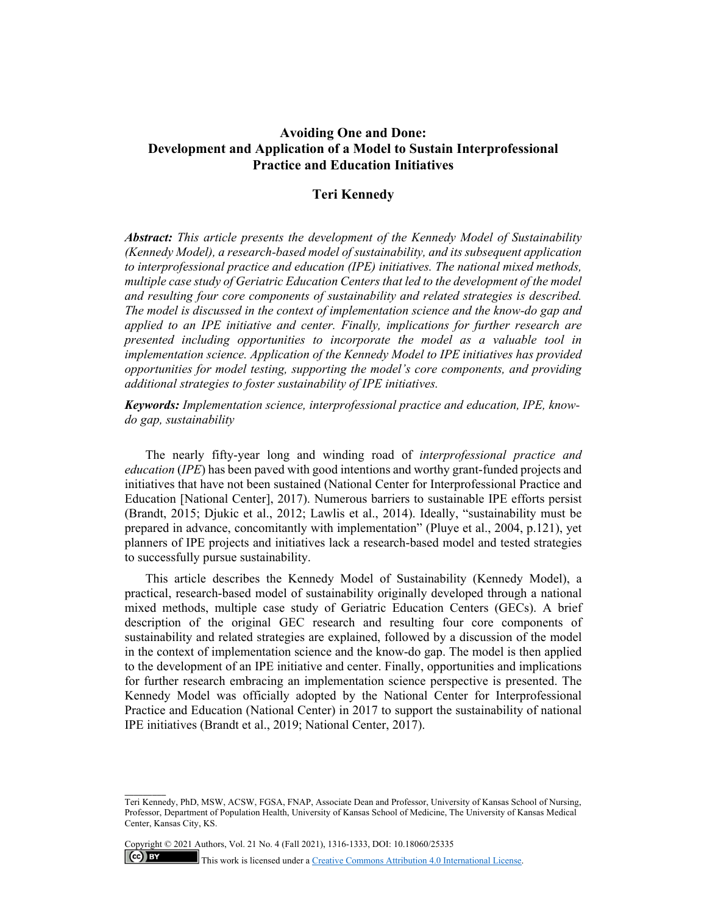# **Avoiding One and Done: Development and Application of a Model to Sustain Interprofessional Practice and Education Initiatives**

## **Teri Kennedy**

*Abstract: This article presents the development of the Kennedy Model of Sustainability (Kennedy Model), a research-based model of sustainability, and its subsequent application to interprofessional practice and education (IPE) initiatives. The national mixed methods, multiple case study of Geriatric Education Centers that led to the development of the model and resulting four core components of sustainability and related strategies is described. The model is discussed in the context of implementation science and the know-do gap and applied to an IPE initiative and center. Finally, implications for further research are presented including opportunities to incorporate the model as a valuable tool in implementation science. Application of the Kennedy Model to IPE initiatives has provided opportunities for model testing, supporting the model's core components, and providing additional strategies to foster sustainability of IPE initiatives.* 

*Keywords: Implementation science, interprofessional practice and education, IPE, knowdo gap, sustainability* 

The nearly fifty-year long and winding road of *interprofessional practice and education* (*IPE*) has been paved with good intentions and worthy grant-funded projects and initiatives that have not been sustained (National Center for Interprofessional Practice and Education [National Center], 2017). Numerous barriers to sustainable IPE efforts persist (Brandt, 2015; Djukic et al., 2012; Lawlis et al., 2014). Ideally, "sustainability must be prepared in advance, concomitantly with implementation" (Pluye et al., 2004, p.121), yet planners of IPE projects and initiatives lack a research-based model and tested strategies to successfully pursue sustainability.

This article describes the Kennedy Model of Sustainability (Kennedy Model), a practical, research-based model of sustainability originally developed through a national mixed methods, multiple case study of Geriatric Education Centers (GECs). A brief description of the original GEC research and resulting four core components of sustainability and related strategies are explained, followed by a discussion of the model in the context of implementation science and the know-do gap. The model is then applied to the development of an IPE initiative and center. Finally, opportunities and implications for further research embracing an implementation science perspective is presented. The Kennedy Model was officially adopted by the National Center for Interprofessional Practice and Education (National Center) in 2017 to support the sustainability of national IPE initiatives (Brandt et al., 2019; National Center, 2017).

Copyright © 2021 Authors, Vol. 21 No. 4 (Fall 2021), 1316-1333, DOI: 10.18060/25335

\_\_\_\_\_\_\_\_\_

 $(cc)$  BY

This work is licensed under a Creative Commons Attribution 4.0 International License.

Teri Kennedy, PhD, MSW, ACSW, FGSA, FNAP, Associate Dean and Professor, University of Kansas School of Nursing, Professor, Department of Population Health, University of Kansas School of Medicine, The University of Kansas Medical Center, Kansas City, KS.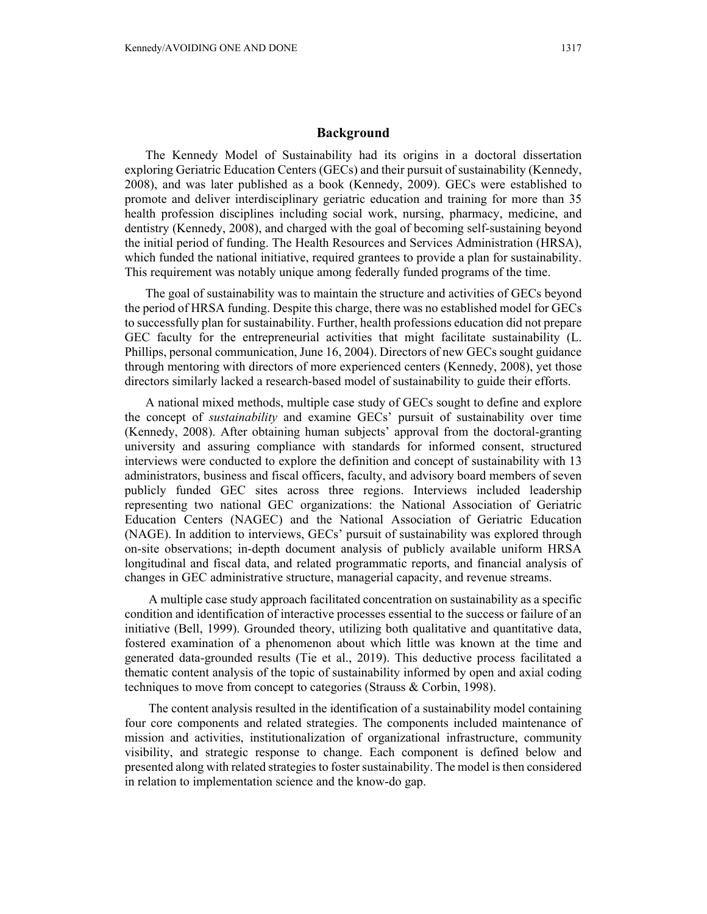## **Background**

The Kennedy Model of Sustainability had its origins in a doctoral dissertation exploring Geriatric Education Centers (GECs) and their pursuit of sustainability (Kennedy, 2008), and was later published as a book (Kennedy, 2009). GECs were established to promote and deliver interdisciplinary geriatric education and training for more than 35 health profession disciplines including social work, nursing, pharmacy, medicine, and dentistry (Kennedy, 2008), and charged with the goal of becoming self-sustaining beyond the initial period of funding. The Health Resources and Services Administration (HRSA), which funded the national initiative, required grantees to provide a plan for sustainability. This requirement was notably unique among federally funded programs of the time.

The goal of sustainability was to maintain the structure and activities of GECs beyond the period of HRSA funding. Despite this charge, there was no established model for GECs to successfully plan for sustainability. Further, health professions education did not prepare GEC faculty for the entrepreneurial activities that might facilitate sustainability (L. Phillips, personal communication, June 16, 2004). Directors of new GECs sought guidance through mentoring with directors of more experienced centers (Kennedy, 2008), yet those directors similarly lacked a research-based model of sustainability to guide their efforts.

A national mixed methods, multiple case study of GECs sought to define and explore the concept of *sustainability* and examine GECs' pursuit of sustainability over time (Kennedy, 2008). After obtaining human subjects' approval from the doctoral-granting university and assuring compliance with standards for informed consent, structured interviews were conducted to explore the definition and concept of sustainability with 13 administrators, business and fiscal officers, faculty, and advisory board members of seven publicly funded GEC sites across three regions. Interviews included leadership representing two national GEC organizations: the National Association of Geriatric Education Centers (NAGEC) and the National Association of Geriatric Education (NAGE). In addition to interviews, GECs' pursuit of sustainability was explored through on-site observations; in-depth document analysis of publicly available uniform HRSA longitudinal and fiscal data, and related programmatic reports, and financial analysis of changes in GEC administrative structure, managerial capacity, and revenue streams.

 A multiple case study approach facilitated concentration on sustainability as a specific condition and identification of interactive processes essential to the success or failure of an initiative (Bell, 1999). Grounded theory, utilizing both qualitative and quantitative data, fostered examination of a phenomenon about which little was known at the time and generated data-grounded results (Tie et al., 2019). This deductive process facilitated a thematic content analysis of the topic of sustainability informed by open and axial coding techniques to move from concept to categories (Strauss & Corbin, 1998).

 The content analysis resulted in the identification of a sustainability model containing four core components and related strategies. The components included maintenance of mission and activities, institutionalization of organizational infrastructure, community visibility, and strategic response to change. Each component is defined below and presented along with related strategies to foster sustainability. The model is then considered in relation to implementation science and the know-do gap.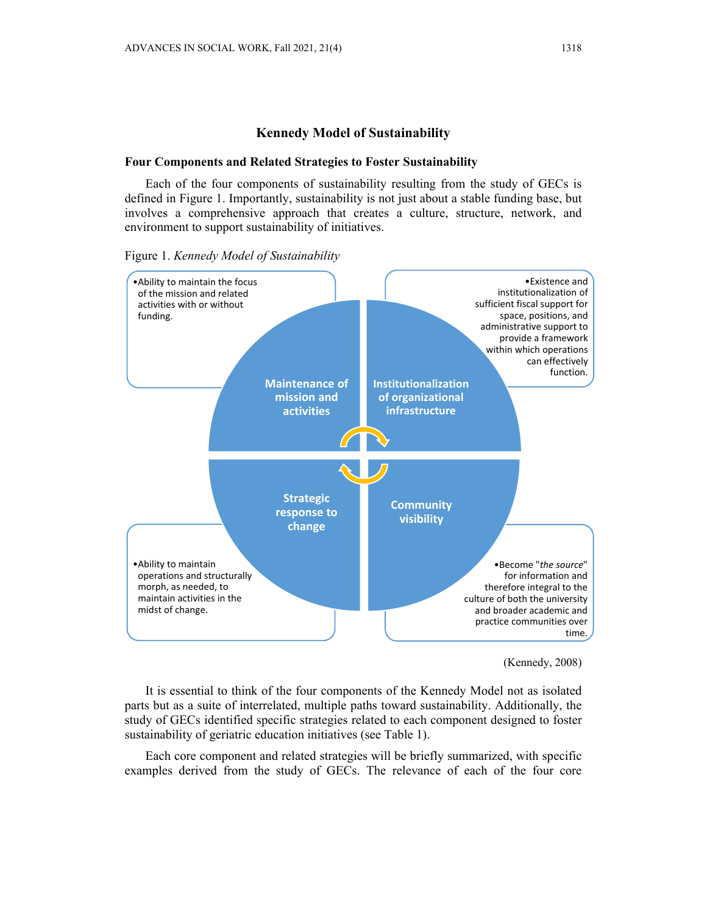## **Kennedy Model of Sustainability**

### **Four Components and Related Strategies to Foster Sustainability**

Each of the four components of sustainability resulting from the study of GECs is defined in Figure 1. Importantly, sustainability is not just about a stable funding base, but involves a comprehensive approach that creates a culture, structure, network, and environment to support sustainability of initiatives.



Figure 1. *Kennedy Model of Sustainability* 



It is essential to think of the four components of the Kennedy Model not as isolated parts but as a suite of interrelated, multiple paths toward sustainability. Additionally, the study of GECs identified specific strategies related to each component designed to foster sustainability of geriatric education initiatives (see Table 1).

Each core component and related strategies will be briefly summarized, with specific examples derived from the study of GECs. The relevance of each of the four core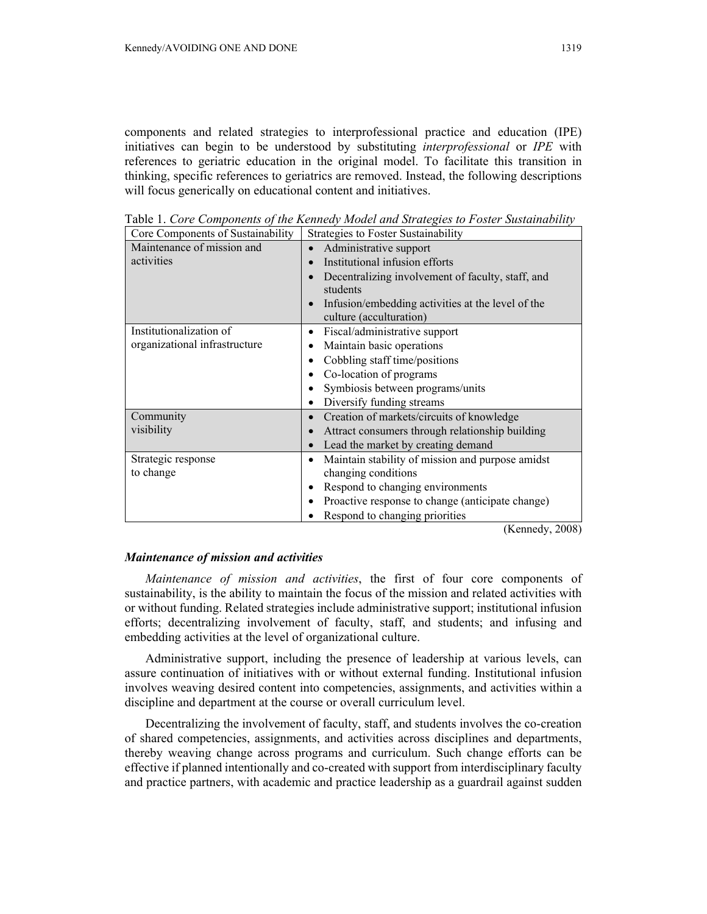components and related strategies to interprofessional practice and education (IPE) initiatives can begin to be understood by substituting *interprofessional* or *IPE* with references to geriatric education in the original model. To facilitate this transition in thinking, specific references to geriatrics are removed. Instead, the following descriptions will focus generically on educational content and initiatives.

| Core Components of Sustainability | Strategies to Foster Sustainability                                          |
|-----------------------------------|------------------------------------------------------------------------------|
| Maintenance of mission and        | Administrative support                                                       |
| activities                        | Institutional infusion efforts                                               |
|                                   | Decentralizing involvement of faculty, staff, and<br>$\bullet$<br>students   |
|                                   | Infusion/embedding activities at the level of the<br>culture (acculturation) |
| Institutionalization of           | Fiscal/administrative support<br>$\bullet$                                   |
| organizational infrastructure     | Maintain basic operations<br>$\bullet$                                       |
|                                   | Cobbling staff time/positions<br>$\bullet$                                   |
|                                   | Co-location of programs                                                      |
|                                   | Symbiosis between programs/units                                             |
|                                   | Diversify funding streams<br>$\bullet$                                       |
| Community                         | Creation of markets/circuits of knowledge<br>$\bullet$                       |
| visibility                        | Attract consumers through relationship building                              |
|                                   | Lead the market by creating demand<br>$\bullet$                              |
| Strategic response                | Maintain stability of mission and purpose amidst<br>$\bullet$                |
| to change                         | changing conditions                                                          |
|                                   | Respond to changing environments<br>٠                                        |
|                                   | Proactive response to change (anticipate change)<br>$\bullet$                |
|                                   | Respond to changing priorities                                               |

Table 1. *Core Components of the Kennedy Model and Strategies to Foster Sustainability* 

(Kennedy, 2008)

## *Maintenance of mission and activities*

*Maintenance of mission and activities*, the first of four core components of sustainability, is the ability to maintain the focus of the mission and related activities with or without funding. Related strategies include administrative support; institutional infusion efforts; decentralizing involvement of faculty, staff, and students; and infusing and embedding activities at the level of organizational culture.

Administrative support, including the presence of leadership at various levels, can assure continuation of initiatives with or without external funding. Institutional infusion involves weaving desired content into competencies, assignments, and activities within a discipline and department at the course or overall curriculum level.

Decentralizing the involvement of faculty, staff, and students involves the co-creation of shared competencies, assignments, and activities across disciplines and departments, thereby weaving change across programs and curriculum. Such change efforts can be effective if planned intentionally and co-created with support from interdisciplinary faculty and practice partners, with academic and practice leadership as a guardrail against sudden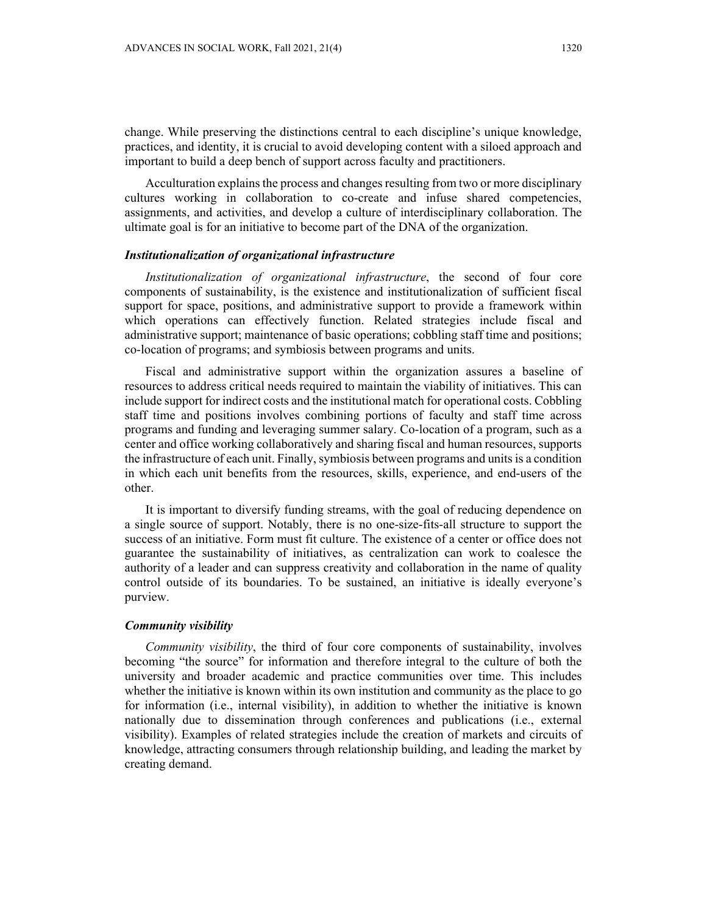change. While preserving the distinctions central to each discipline's unique knowledge, practices, and identity, it is crucial to avoid developing content with a siloed approach and important to build a deep bench of support across faculty and practitioners.

Acculturation explains the process and changes resulting from two or more disciplinary cultures working in collaboration to co-create and infuse shared competencies, assignments, and activities, and develop a culture of interdisciplinary collaboration. The ultimate goal is for an initiative to become part of the DNA of the organization.

### *Institutionalization of organizational infrastructure*

*Institutionalization of organizational infrastructure*, the second of four core components of sustainability, is the existence and institutionalization of sufficient fiscal support for space, positions, and administrative support to provide a framework within which operations can effectively function. Related strategies include fiscal and administrative support; maintenance of basic operations; cobbling staff time and positions; co-location of programs; and symbiosis between programs and units.

Fiscal and administrative support within the organization assures a baseline of resources to address critical needs required to maintain the viability of initiatives. This can include support for indirect costs and the institutional match for operational costs. Cobbling staff time and positions involves combining portions of faculty and staff time across programs and funding and leveraging summer salary. Co-location of a program, such as a center and office working collaboratively and sharing fiscal and human resources, supports the infrastructure of each unit. Finally, symbiosis between programs and units is a condition in which each unit benefits from the resources, skills, experience, and end-users of the other.

It is important to diversify funding streams, with the goal of reducing dependence on a single source of support. Notably, there is no one-size-fits-all structure to support the success of an initiative. Form must fit culture. The existence of a center or office does not guarantee the sustainability of initiatives, as centralization can work to coalesce the authority of a leader and can suppress creativity and collaboration in the name of quality control outside of its boundaries. To be sustained, an initiative is ideally everyone's purview.

# *Community visibility*

*Community visibility*, the third of four core components of sustainability, involves becoming "the source" for information and therefore integral to the culture of both the university and broader academic and practice communities over time. This includes whether the initiative is known within its own institution and community as the place to go for information (i.e., internal visibility), in addition to whether the initiative is known nationally due to dissemination through conferences and publications (i.e., external visibility). Examples of related strategies include the creation of markets and circuits of knowledge, attracting consumers through relationship building, and leading the market by creating demand.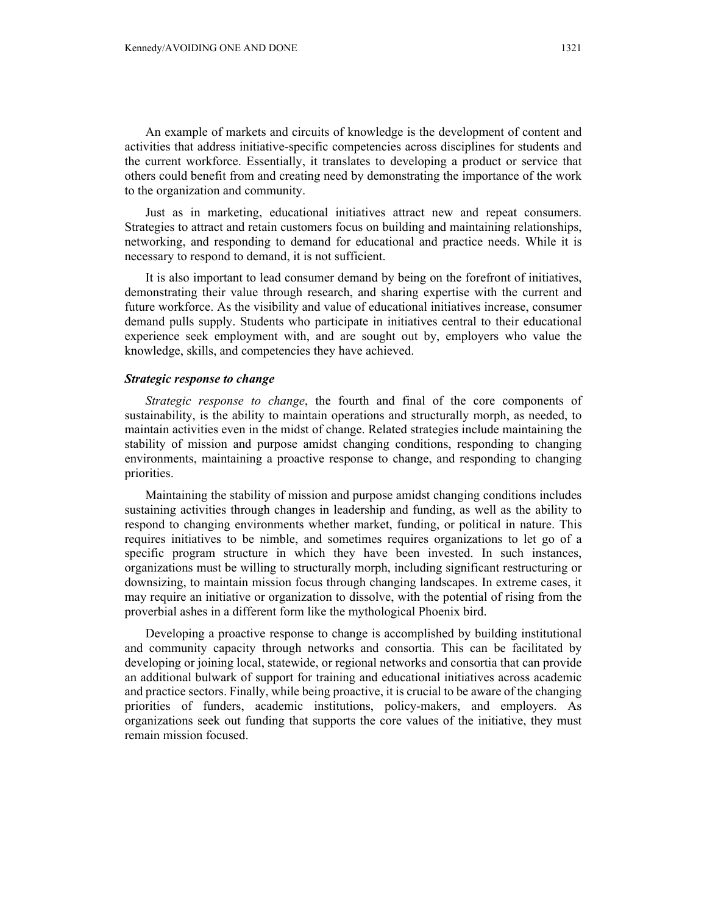An example of markets and circuits of knowledge is the development of content and activities that address initiative-specific competencies across disciplines for students and the current workforce. Essentially, it translates to developing a product or service that others could benefit from and creating need by demonstrating the importance of the work to the organization and community.

Just as in marketing, educational initiatives attract new and repeat consumers. Strategies to attract and retain customers focus on building and maintaining relationships, networking, and responding to demand for educational and practice needs. While it is necessary to respond to demand, it is not sufficient.

It is also important to lead consumer demand by being on the forefront of initiatives, demonstrating their value through research, and sharing expertise with the current and future workforce. As the visibility and value of educational initiatives increase, consumer demand pulls supply. Students who participate in initiatives central to their educational experience seek employment with, and are sought out by, employers who value the knowledge, skills, and competencies they have achieved.

### *Strategic response to change*

*Strategic response to change*, the fourth and final of the core components of sustainability, is the ability to maintain operations and structurally morph, as needed, to maintain activities even in the midst of change. Related strategies include maintaining the stability of mission and purpose amidst changing conditions, responding to changing environments, maintaining a proactive response to change, and responding to changing priorities.

Maintaining the stability of mission and purpose amidst changing conditions includes sustaining activities through changes in leadership and funding, as well as the ability to respond to changing environments whether market, funding, or political in nature. This requires initiatives to be nimble, and sometimes requires organizations to let go of a specific program structure in which they have been invested. In such instances, organizations must be willing to structurally morph, including significant restructuring or downsizing, to maintain mission focus through changing landscapes. In extreme cases, it may require an initiative or organization to dissolve, with the potential of rising from the proverbial ashes in a different form like the mythological Phoenix bird.

Developing a proactive response to change is accomplished by building institutional and community capacity through networks and consortia. This can be facilitated by developing or joining local, statewide, or regional networks and consortia that can provide an additional bulwark of support for training and educational initiatives across academic and practice sectors. Finally, while being proactive, it is crucial to be aware of the changing priorities of funders, academic institutions, policy-makers, and employers. As organizations seek out funding that supports the core values of the initiative, they must remain mission focused.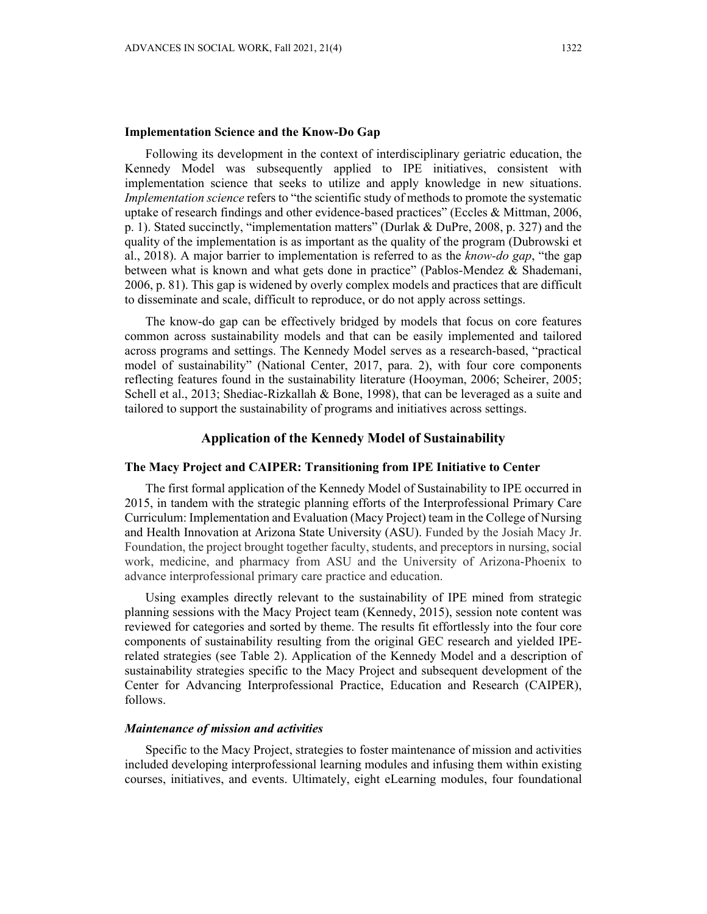## **Implementation Science and the Know-Do Gap**

Following its development in the context of interdisciplinary geriatric education, the Kennedy Model was subsequently applied to IPE initiatives, consistent with implementation science that seeks to utilize and apply knowledge in new situations. *Implementation science* refers to "the scientific study of methods to promote the systematic uptake of research findings and other evidence-based practices" (Eccles & Mittman, 2006, p. 1). Stated succinctly, "implementation matters" (Durlak & DuPre, 2008, p. 327) and the quality of the implementation is as important as the quality of the program (Dubrowski et al., 2018). A major barrier to implementation is referred to as the *know-do gap*, "the gap between what is known and what gets done in practice" (Pablos-Mendez & Shademani, 2006, p. 81). This gap is widened by overly complex models and practices that are difficult to disseminate and scale, difficult to reproduce, or do not apply across settings.

The know-do gap can be effectively bridged by models that focus on core features common across sustainability models and that can be easily implemented and tailored across programs and settings. The Kennedy Model serves as a research-based, "practical model of sustainability" (National Center, 2017, para. 2), with four core components reflecting features found in the sustainability literature (Hooyman, 2006; Scheirer, 2005; Schell et al., 2013; Shediac-Rizkallah & Bone, 1998), that can be leveraged as a suite and tailored to support the sustainability of programs and initiatives across settings.

# **Application of the Kennedy Model of Sustainability**

## **The Macy Project and CAIPER: Transitioning from IPE Initiative to Center**

The first formal application of the Kennedy Model of Sustainability to IPE occurred in 2015, in tandem with the strategic planning efforts of the Interprofessional Primary Care Curriculum: Implementation and Evaluation (Macy Project) team in the College of Nursing and Health Innovation at Arizona State University (ASU). Funded by the Josiah Macy Jr. Foundation, the project brought together faculty, students, and preceptors in nursing, social work, medicine, and pharmacy from ASU and the University of Arizona-Phoenix to advance interprofessional primary care practice and education.

Using examples directly relevant to the sustainability of IPE mined from strategic planning sessions with the Macy Project team (Kennedy, 2015), session note content was reviewed for categories and sorted by theme. The results fit effortlessly into the four core components of sustainability resulting from the original GEC research and yielded IPErelated strategies (see Table 2). Application of the Kennedy Model and a description of sustainability strategies specific to the Macy Project and subsequent development of the Center for Advancing Interprofessional Practice, Education and Research (CAIPER), follows.

## *Maintenance of mission and activities*

Specific to the Macy Project, strategies to foster maintenance of mission and activities included developing interprofessional learning modules and infusing them within existing courses, initiatives, and events. Ultimately, eight eLearning modules, four foundational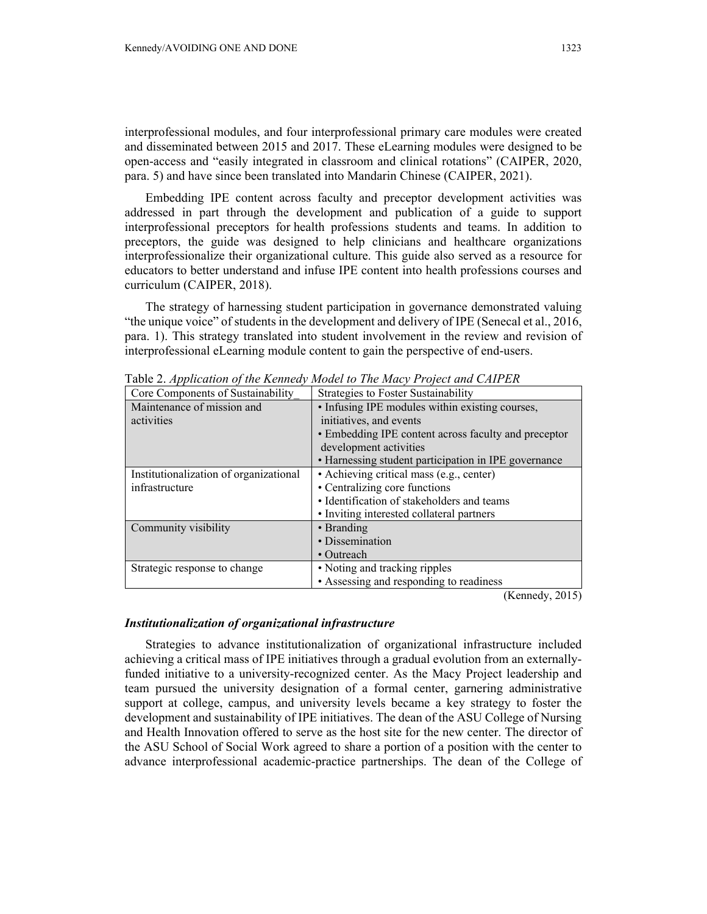interprofessional modules, and four interprofessional primary care modules were created and disseminated between 2015 and 2017. These eLearning modules were designed to be open-access and "easily integrated in classroom and clinical rotations" (CAIPER, 2020, para. 5) and have since been translated into Mandarin Chinese (CAIPER, 2021).

Embedding IPE content across faculty and preceptor development activities was addressed in part through the development and publication of a guide to support interprofessional preceptors for health professions students and teams. In addition to preceptors, the guide was designed to help clinicians and healthcare organizations interprofessionalize their organizational culture. This guide also served as a resource for educators to better understand and infuse IPE content into health professions courses and curriculum (CAIPER, 2018).

The strategy of harnessing student participation in governance demonstrated valuing "the unique voice" of students in the development and delivery of IPE (Senecal et al., 2016, para. 1). This strategy translated into student involvement in the review and revision of interprofessional eLearning module content to gain the perspective of end-users.

| Core Components of Sustainability      | Table 2. <i>Application of the Kennedy model to The macy I Folen and CAIH</i> ER |
|----------------------------------------|----------------------------------------------------------------------------------|
|                                        | Strategies to Foster Sustainability                                              |
| Maintenance of mission and             | • Infusing IPE modules within existing courses,                                  |
| activities                             | initiatives, and events                                                          |
|                                        | • Embedding IPE content across faculty and preceptor                             |
|                                        | development activities                                                           |
|                                        | • Harnessing student participation in IPE governance                             |
| Institutionalization of organizational | • Achieving critical mass (e.g., center)                                         |
| infrastructure                         | • Centralizing core functions                                                    |
|                                        | · Identification of stakeholders and teams                                       |
|                                        | • Inviting interested collateral partners                                        |
| Community visibility                   | • Branding                                                                       |
|                                        | • Dissemination                                                                  |
|                                        | • Outreach                                                                       |
| Strategic response to change           | • Noting and tracking ripples                                                    |
|                                        | • Assessing and responding to readiness                                          |
|                                        | $(TZ_1, \ldots, T_n, \Delta T)$                                                  |

Table 2. *Application of the Kennedy Model to The Macy Project and CAIPER* 

(Kennedy, 2015)

#### *Institutionalization of organizational infrastructure*

Strategies to advance institutionalization of organizational infrastructure included achieving a critical mass of IPE initiatives through a gradual evolution from an externallyfunded initiative to a university-recognized center. As the Macy Project leadership and team pursued the university designation of a formal center, garnering administrative support at college, campus, and university levels became a key strategy to foster the development and sustainability of IPE initiatives. The dean of the ASU College of Nursing and Health Innovation offered to serve as the host site for the new center. The director of the ASU School of Social Work agreed to share a portion of a position with the center to advance interprofessional academic-practice partnerships. The dean of the College of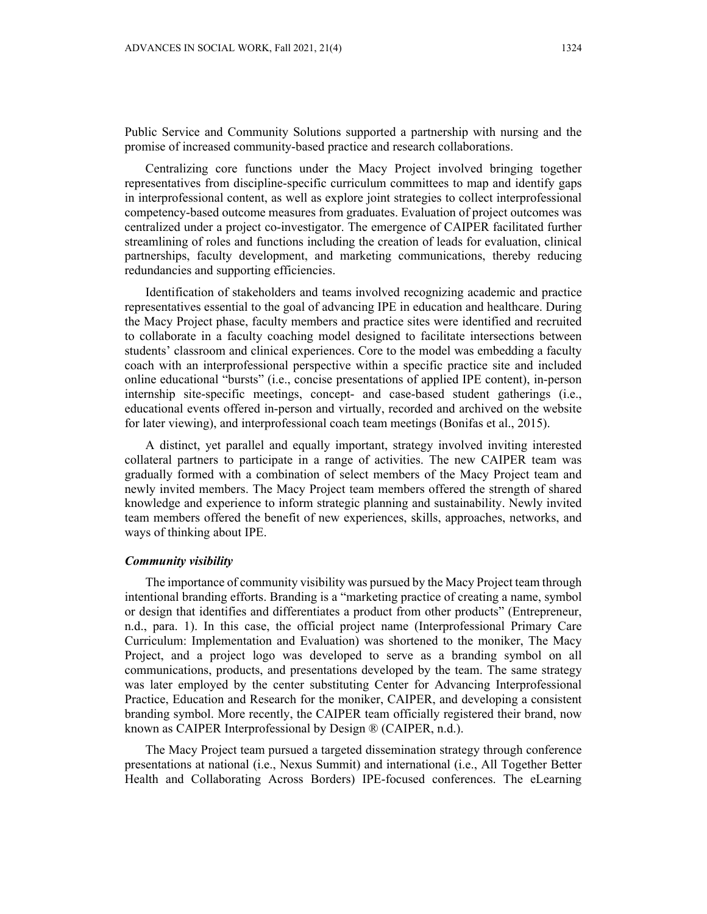Public Service and Community Solutions supported a partnership with nursing and the promise of increased community-based practice and research collaborations.

Centralizing core functions under the Macy Project involved bringing together representatives from discipline-specific curriculum committees to map and identify gaps in interprofessional content, as well as explore joint strategies to collect interprofessional competency-based outcome measures from graduates. Evaluation of project outcomes was centralized under a project co-investigator. The emergence of CAIPER facilitated further streamlining of roles and functions including the creation of leads for evaluation, clinical partnerships, faculty development, and marketing communications, thereby reducing redundancies and supporting efficiencies.

Identification of stakeholders and teams involved recognizing academic and practice representatives essential to the goal of advancing IPE in education and healthcare. During the Macy Project phase, faculty members and practice sites were identified and recruited to collaborate in a faculty coaching model designed to facilitate intersections between students' classroom and clinical experiences. Core to the model was embedding a faculty coach with an interprofessional perspective within a specific practice site and included online educational "bursts" (i.e., concise presentations of applied IPE content), in-person internship site-specific meetings, concept- and case-based student gatherings (i.e., educational events offered in-person and virtually, recorded and archived on the website for later viewing), and interprofessional coach team meetings (Bonifas et al., 2015).

A distinct, yet parallel and equally important, strategy involved inviting interested collateral partners to participate in a range of activities. The new CAIPER team was gradually formed with a combination of select members of the Macy Project team and newly invited members. The Macy Project team members offered the strength of shared knowledge and experience to inform strategic planning and sustainability. Newly invited team members offered the benefit of new experiences, skills, approaches, networks, and ways of thinking about IPE.

### *Community visibility*

The importance of community visibility was pursued by the Macy Project team through intentional branding efforts. Branding is a "marketing practice of creating a name, symbol or design that identifies and differentiates a product from other products" (Entrepreneur, n.d., para. 1). In this case, the official project name (Interprofessional Primary Care Curriculum: Implementation and Evaluation) was shortened to the moniker, The Macy Project, and a project logo was developed to serve as a branding symbol on all communications, products, and presentations developed by the team. The same strategy was later employed by the center substituting Center for Advancing Interprofessional Practice, Education and Research for the moniker, CAIPER, and developing a consistent branding symbol. More recently, the CAIPER team officially registered their brand, now known as CAIPER Interprofessional by Design ® (CAIPER, n.d.).

The Macy Project team pursued a targeted dissemination strategy through conference presentations at national (i.e., Nexus Summit) and international (i.e., All Together Better Health and Collaborating Across Borders) IPE-focused conferences. The eLearning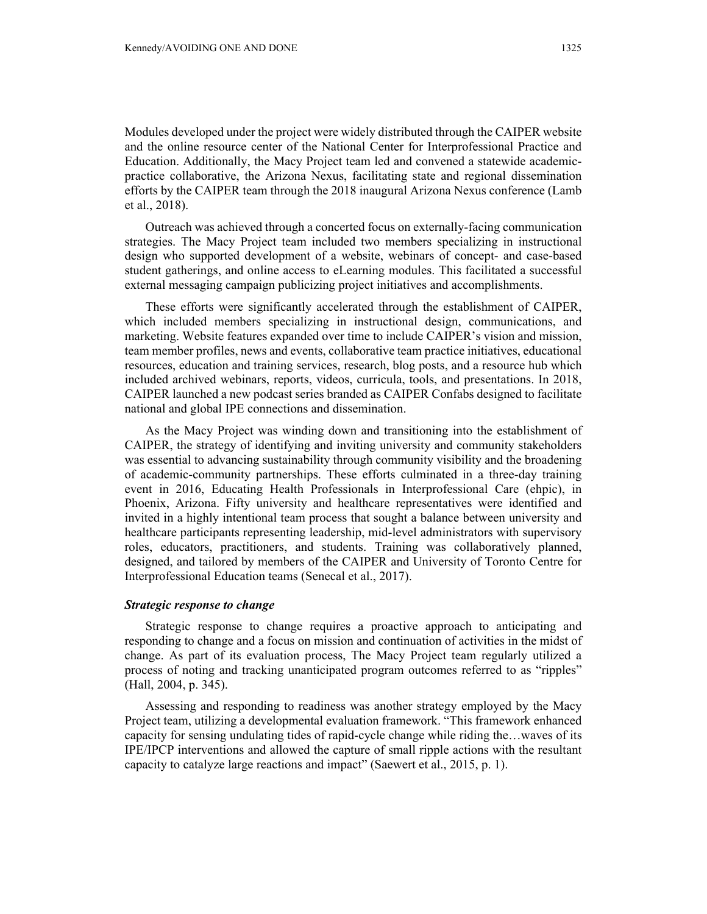Modules developed under the project were widely distributed through the CAIPER website and the online resource center of the National Center for Interprofessional Practice and Education. Additionally, the Macy Project team led and convened a statewide academicpractice collaborative, the Arizona Nexus, facilitating state and regional dissemination efforts by the CAIPER team through the 2018 inaugural Arizona Nexus conference (Lamb et al., 2018).

Outreach was achieved through a concerted focus on externally-facing communication strategies. The Macy Project team included two members specializing in instructional design who supported development of a website, webinars of concept- and case-based student gatherings, and online access to eLearning modules. This facilitated a successful external messaging campaign publicizing project initiatives and accomplishments.

These efforts were significantly accelerated through the establishment of CAIPER, which included members specializing in instructional design, communications, and marketing. Website features expanded over time to include CAIPER's vision and mission, team member profiles, news and events, collaborative team practice initiatives, educational resources, education and training services, research, blog posts, and a resource hub which included archived webinars, reports, videos, curricula, tools, and presentations. In 2018, CAIPER launched a new podcast series branded as CAIPER Confabs designed to facilitate national and global IPE connections and dissemination.

As the Macy Project was winding down and transitioning into the establishment of CAIPER, the strategy of identifying and inviting university and community stakeholders was essential to advancing sustainability through community visibility and the broadening of academic-community partnerships. These efforts culminated in a three-day training event in 2016, Educating Health Professionals in Interprofessional Care (ehpic), in Phoenix, Arizona. Fifty university and healthcare representatives were identified and invited in a highly intentional team process that sought a balance between university and healthcare participants representing leadership, mid-level administrators with supervisory roles, educators, practitioners, and students. Training was collaboratively planned, designed, and tailored by members of the CAIPER and University of Toronto Centre for Interprofessional Education teams (Senecal et al., 2017).

### *Strategic response to change*

Strategic response to change requires a proactive approach to anticipating and responding to change and a focus on mission and continuation of activities in the midst of change. As part of its evaluation process, The Macy Project team regularly utilized a process of noting and tracking unanticipated program outcomes referred to as "ripples" (Hall, 2004, p. 345).

Assessing and responding to readiness was another strategy employed by the Macy Project team, utilizing a developmental evaluation framework. "This framework enhanced capacity for sensing undulating tides of rapid-cycle change while riding the…waves of its IPE/IPCP interventions and allowed the capture of small ripple actions with the resultant capacity to catalyze large reactions and impact" (Saewert et al., 2015, p. 1).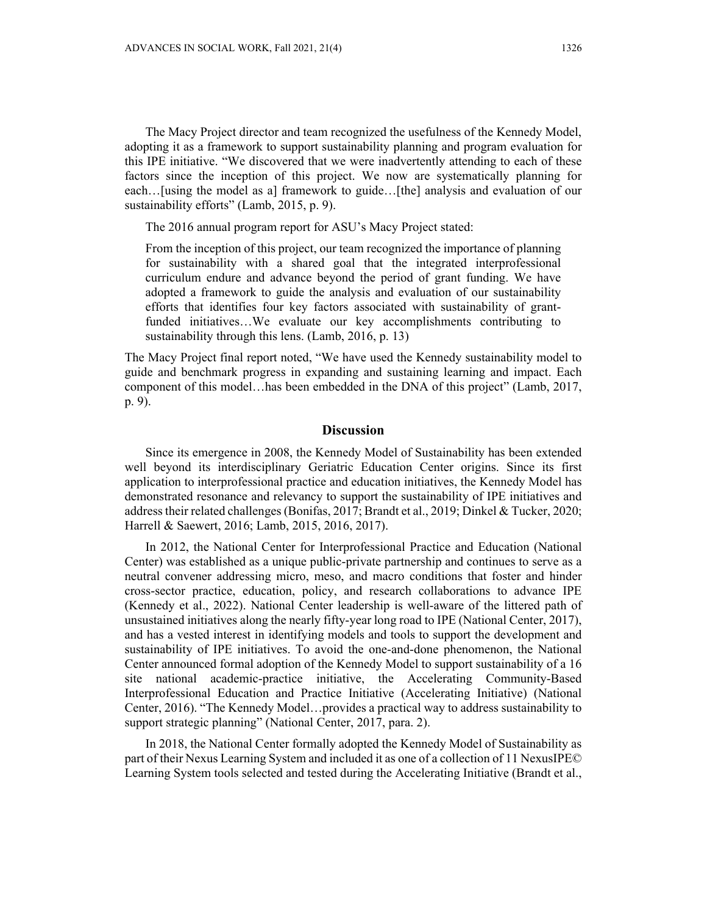The Macy Project director and team recognized the usefulness of the Kennedy Model, adopting it as a framework to support sustainability planning and program evaluation for this IPE initiative. "We discovered that we were inadvertently attending to each of these factors since the inception of this project. We now are systematically planning for each...[using the model as a] framework to guide...[the] analysis and evaluation of our sustainability efforts" (Lamb, 2015, p. 9).

The 2016 annual program report for ASU's Macy Project stated:

From the inception of this project, our team recognized the importance of planning for sustainability with a shared goal that the integrated interprofessional curriculum endure and advance beyond the period of grant funding. We have adopted a framework to guide the analysis and evaluation of our sustainability efforts that identifies four key factors associated with sustainability of grantfunded initiatives…We evaluate our key accomplishments contributing to sustainability through this lens. (Lamb, 2016, p. 13)

The Macy Project final report noted, "We have used the Kennedy sustainability model to guide and benchmark progress in expanding and sustaining learning and impact. Each component of this model…has been embedded in the DNA of this project" (Lamb, 2017, p. 9).

## **Discussion**

Since its emergence in 2008, the Kennedy Model of Sustainability has been extended well beyond its interdisciplinary Geriatric Education Center origins. Since its first application to interprofessional practice and education initiatives, the Kennedy Model has demonstrated resonance and relevancy to support the sustainability of IPE initiatives and address their related challenges (Bonifas, 2017; Brandt et al., 2019; Dinkel & Tucker, 2020; Harrell & Saewert, 2016; Lamb, 2015, 2016, 2017).

In 2012, the National Center for Interprofessional Practice and Education (National Center) was established as a unique public-private partnership and continues to serve as a neutral convener addressing micro, meso, and macro conditions that foster and hinder cross-sector practice, education, policy, and research collaborations to advance IPE (Kennedy et al., 2022). National Center leadership is well-aware of the littered path of unsustained initiatives along the nearly fifty-year long road to IPE (National Center, 2017), and has a vested interest in identifying models and tools to support the development and sustainability of IPE initiatives. To avoid the one-and-done phenomenon, the National Center announced formal adoption of the Kennedy Model to support sustainability of a 16 site national academic-practice initiative, the Accelerating Community-Based Interprofessional Education and Practice Initiative (Accelerating Initiative) (National Center, 2016). "The Kennedy Model…provides a practical way to address sustainability to support strategic planning" (National Center, 2017, para. 2).

In 2018, the National Center formally adopted the Kennedy Model of Sustainability as part of their Nexus Learning System and included it as one of a collection of 11 NexusIPE© Learning System tools selected and tested during the Accelerating Initiative (Brandt et al.,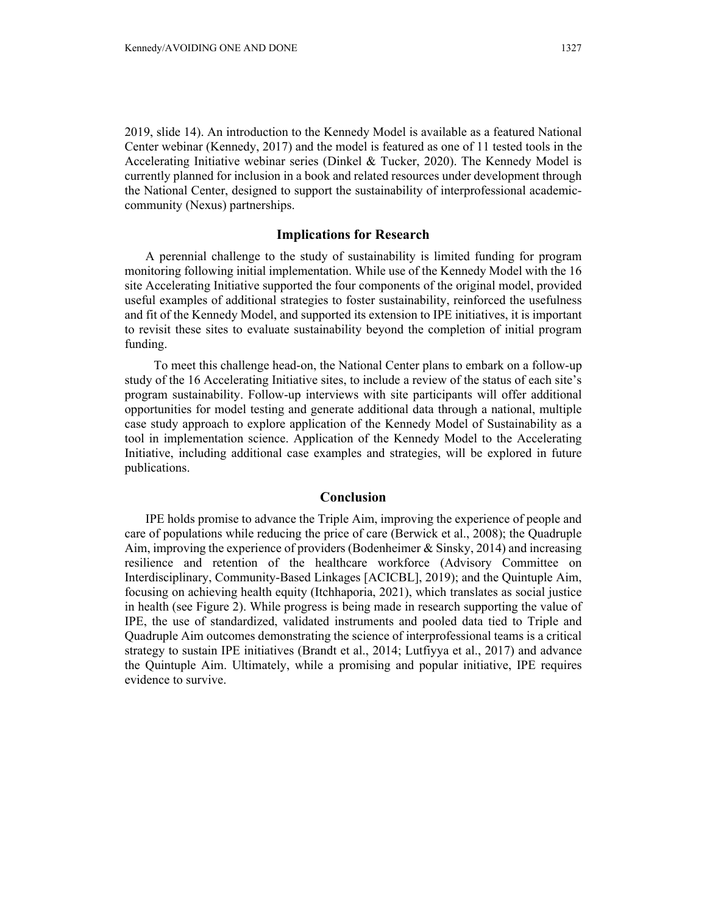2019, slide 14). An introduction to the Kennedy Model is available as a featured National Center webinar (Kennedy, 2017) and the model is featured as one of 11 tested tools in the Accelerating Initiative webinar series (Dinkel & Tucker, 2020). The Kennedy Model is currently planned for inclusion in a book and related resources under development through the National Center, designed to support the sustainability of interprofessional academiccommunity (Nexus) partnerships.

# **Implications for Research**

A perennial challenge to the study of sustainability is limited funding for program monitoring following initial implementation. While use of the Kennedy Model with the 16 site Accelerating Initiative supported the four components of the original model, provided useful examples of additional strategies to foster sustainability, reinforced the usefulness and fit of the Kennedy Model, and supported its extension to IPE initiatives, it is important to revisit these sites to evaluate sustainability beyond the completion of initial program funding.

 To meet this challenge head-on, the National Center plans to embark on a follow-up study of the 16 Accelerating Initiative sites, to include a review of the status of each site's program sustainability. Follow-up interviews with site participants will offer additional opportunities for model testing and generate additional data through a national, multiple case study approach to explore application of the Kennedy Model of Sustainability as a tool in implementation science. Application of the Kennedy Model to the Accelerating Initiative, including additional case examples and strategies, will be explored in future publications.

## **Conclusion**

IPE holds promise to advance the Triple Aim, improving the experience of people and care of populations while reducing the price of care (Berwick et al., 2008); the Quadruple Aim, improving the experience of providers (Bodenheimer & Sinsky, 2014) and increasing resilience and retention of the healthcare workforce (Advisory Committee on Interdisciplinary, Community-Based Linkages [ACICBL], 2019); and the Quintuple Aim, focusing on achieving health equity (Itchhaporia, 2021), which translates as social justice in health (see Figure 2). While progress is being made in research supporting the value of IPE, the use of standardized, validated instruments and pooled data tied to Triple and Quadruple Aim outcomes demonstrating the science of interprofessional teams is a critical strategy to sustain IPE initiatives (Brandt et al., 2014; Lutfiyya et al., 2017) and advance the Quintuple Aim. Ultimately, while a promising and popular initiative, IPE requires evidence to survive.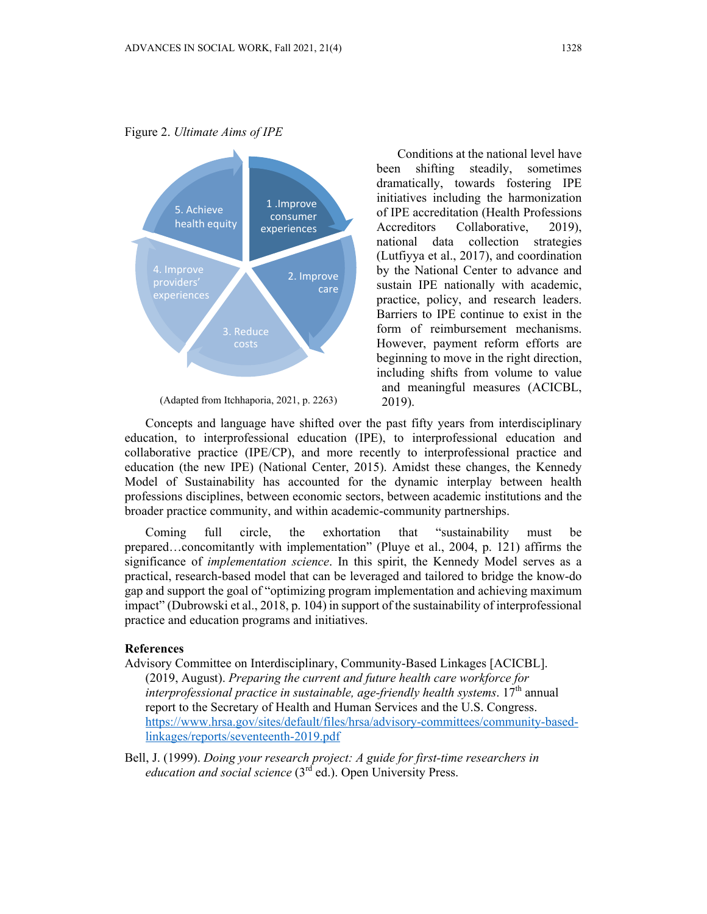Figure 2. *Ultimate Aims of IPE*



(Adapted from Itchhaporia, 2021, p. 2263)

Conditions at the national level have been shifting steadily, sometimes dramatically, towards fostering IPE initiatives including the harmonization of IPE accreditation (Health Professions Accreditors Collaborative, 2019), national data collection strategies (Lutfiyya et al., 2017), and coordination by the National Center to advance and sustain IPE nationally with academic, practice, policy, and research leaders. Barriers to IPE continue to exist in the form of reimbursement mechanisms. However, payment reform efforts are beginning to move in the right direction, including shifts from volume to value and meaningful measures (ACICBL, 2019).

Concepts and language have shifted over the past fifty years from interdisciplinary education, to interprofessional education (IPE), to interprofessional education and collaborative practice (IPE/CP), and more recently to interprofessional practice and education (the new IPE) (National Center, 2015). Amidst these changes, the Kennedy Model of Sustainability has accounted for the dynamic interplay between health professions disciplines, between economic sectors, between academic institutions and the broader practice community, and within academic-community partnerships.

Coming full circle, the exhortation that "sustainability must be prepared…concomitantly with implementation" (Pluye et al., 2004, p. 121) affirms the significance of *implementation science*. In this spirit, the Kennedy Model serves as a practical, research-based model that can be leveraged and tailored to bridge the know-do gap and support the goal of "optimizing program implementation and achieving maximum impact" (Dubrowski et al., 2018, p. 104) in support of the sustainability of interprofessional practice and education programs and initiatives.

#### **References**

- Advisory Committee on Interdisciplinary, Community-Based Linkages [ACICBL].
	- (2019, August). *Preparing the current and future health care workforce for interprofessional practice in sustainable, age-friendly health systems.* 17<sup>th</sup> annual report to the Secretary of Health and Human Services and the U.S. Congress. https://www.hrsa.gov/sites/default/files/hrsa/advisory-committees/community-basedlinkages/reports/seventeenth-2019.pdf
- Bell, J. (1999). *Doing your research project: A guide for first-time researchers in education and social science* (3<sup>rd</sup> ed.). Open University Press.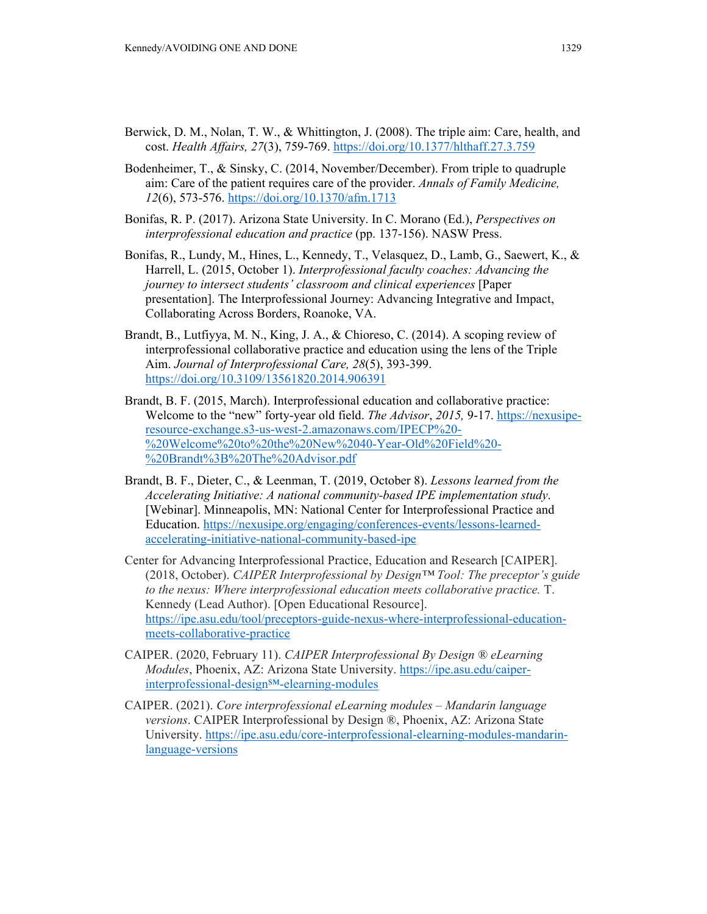- Berwick, D. M., Nolan, T. W., & Whittington, J. (2008). The triple aim: Care, health, and cost. *Health Affairs, 27*(3), 759-769. https://doi.org/10.1377/hlthaff.27.3.759
- Bodenheimer, T., & Sinsky, C. (2014, November/December). From triple to quadruple aim: Care of the patient requires care of the provider. *Annals of Family Medicine, 12*(6), 573-576. https://doi.org/10.1370/afm.1713
- Bonifas, R. P. (2017). Arizona State University. In C. Morano (Ed.), *Perspectives on interprofessional education and practice* (pp. 137-156). NASW Press.
- Bonifas, R., Lundy, M., Hines, L., Kennedy, T., Velasquez, D., Lamb, G., Saewert, K., & Harrell, L. (2015, October 1). *Interprofessional faculty coaches: Advancing the journey to intersect students' classroom and clinical experiences* [Paper presentation]. The Interprofessional Journey: Advancing Integrative and Impact, Collaborating Across Borders, Roanoke, VA.
- Brandt, B., Lutfiyya, M. N., King, J. A., & Chioreso, C. (2014). A scoping review of interprofessional collaborative practice and education using the lens of the Triple Aim. *Journal of Interprofessional Care, 28*(5), 393-399. https://doi.org/10.3109/13561820.2014.906391
- Brandt, B. F. (2015, March). Interprofessional education and collaborative practice: Welcome to the "new" forty-year old field. *The Advisor*, *2015,* 9-17. https://nexusiperesource-exchange.s3-us-west-2.amazonaws.com/IPECP%20- %20Welcome%20to%20the%20New%2040-Year-Old%20Field%20- %20Brandt%3B%20The%20Advisor.pdf
- Brandt, B. F., Dieter, C., & Leenman, T. (2019, October 8). *Lessons learned from the Accelerating Initiative: A national community-based IPE implementation study*. [Webinar]. Minneapolis, MN: National Center for Interprofessional Practice and Education. https://nexusipe.org/engaging/conferences-events/lessons-learnedaccelerating-initiative-national-community-based-ipe
- Center for Advancing Interprofessional Practice, Education and Research [CAIPER]. (2018, October). *CAIPER Interprofessional by Design™ Tool: The preceptor's guide to the nexus: Where interprofessional education meets collaborative practice.* T. Kennedy (Lead Author). [Open Educational Resource]. https://ipe.asu.edu/tool/preceptors-guide-nexus-where-interprofessional-educationmeets-collaborative-practice
- CAIPER. (2020, February 11). *CAIPER Interprofessional By Design ® eLearning Modules*, Phoenix, AZ: Arizona State University. https://ipe.asu.edu/caiperinterprofessional-design<sup>SM</sup>-elearning-modules
- CAIPER. (2021). *Core interprofessional eLearning modules Mandarin language versions*. CAIPER Interprofessional by Design ®, Phoenix, AZ: Arizona State University. https://ipe.asu.edu/core-interprofessional-elearning-modules-mandarinlanguage-versions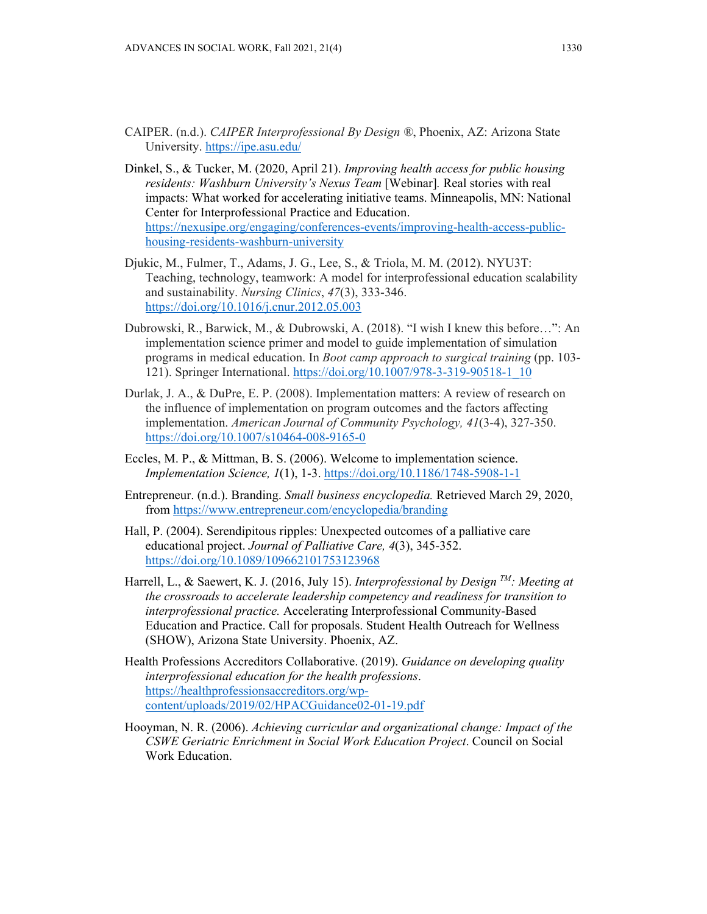- CAIPER. (n.d.). *CAIPER Interprofessional By Design ®*, Phoenix, AZ: Arizona State University. https://ipe.asu.edu/
- Dinkel, S., & Tucker, M. (2020, April 21). *Improving health access for public housing residents: Washburn University's Nexus Team* [Webinar]*.* Real stories with real impacts: What worked for accelerating initiative teams. Minneapolis, MN: National Center for Interprofessional Practice and Education. https://nexusipe.org/engaging/conferences-events/improving-health-access-publichousing-residents-washburn-university
- Djukic, M., Fulmer, T., Adams, J. G., Lee, S., & Triola, M. M. (2012). NYU3T: Teaching, technology, teamwork: A model for interprofessional education scalability and sustainability. *Nursing Clinics*, *47*(3), 333-346. https://doi.org/10.1016/j.cnur.2012.05.003
- Dubrowski, R., Barwick, M., & Dubrowski, A. (2018). "I wish I knew this before…": An implementation science primer and model to guide implementation of simulation programs in medical education. In *Boot camp approach to surgical training* (pp. 103- 121). Springer International. https://doi.org/10.1007/978-3-319-90518-1\_10
- Durlak, J. A., & DuPre, E. P. (2008). Implementation matters: A review of research on the influence of implementation on program outcomes and the factors affecting implementation. *American Journal of Community Psychology, 41*(3-4), 327-350. https://doi.org/10.1007/s10464-008-9165-0
- Eccles, M. P., & Mittman, B. S. (2006). Welcome to implementation science. *Implementation Science, 1*(1), 1-3. https://doi.org/10.1186/1748-5908-1-1
- Entrepreneur. (n.d.). Branding. *Small business encyclopedia.* Retrieved March 29, 2020, from https://www.entrepreneur.com/encyclopedia/branding
- Hall, P. (2004). Serendipitous ripples: Unexpected outcomes of a palliative care educational project. *Journal of Palliative Care, 4*(3), 345-352. https://doi.org/10.1089/109662101753123968
- Harrell, L., & Saewert, K. J. (2016, July 15). *Interprofessional by Design TM: Meeting at the crossroads to accelerate leadership competency and readiness for transition to interprofessional practice.* Accelerating Interprofessional Community-Based Education and Practice. Call for proposals. Student Health Outreach for Wellness (SHOW), Arizona State University. Phoenix, AZ.
- Health Professions Accreditors Collaborative. (2019). *Guidance on developing quality interprofessional education for the health professions*. https://healthprofessionsaccreditors.org/wpcontent/uploads/2019/02/HPACGuidance02-01-19.pdf
- Hooyman, N. R. (2006). *Achieving curricular and organizational change: Impact of the CSWE Geriatric Enrichment in Social Work Education Project*. Council on Social Work Education.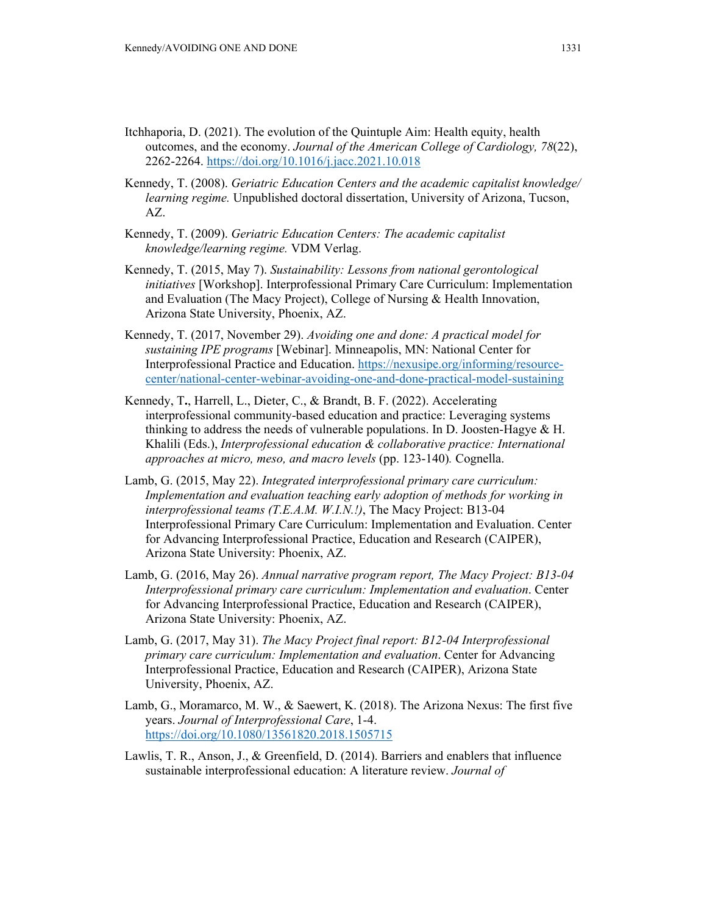- Itchhaporia, D. (2021). The evolution of the Quintuple Aim: Health equity, health outcomes, and the economy. *Journal of the American College of Cardiology, 78*(22), 2262-2264. https://doi.org/10.1016/j.jacc.2021.10.018
- Kennedy, T. (2008). *Geriatric Education Centers and the academic capitalist knowledge/ learning regime.* Unpublished doctoral dissertation, University of Arizona, Tucson, AZ.
- Kennedy, T. (2009). *Geriatric Education Centers: The academic capitalist knowledge/learning regime.* VDM Verlag.
- Kennedy, T. (2015, May 7). *Sustainability: Lessons from national gerontological initiatives* [Workshop]. Interprofessional Primary Care Curriculum: Implementation and Evaluation (The Macy Project), College of Nursing & Health Innovation, Arizona State University, Phoenix, AZ.
- Kennedy, T. (2017, November 29). *Avoiding one and done: A practical model for sustaining IPE programs* [Webinar]. Minneapolis, MN: National Center for Interprofessional Practice and Education. https://nexusipe.org/informing/resourcecenter/national-center-webinar-avoiding-one-and-done-practical-model-sustaining
- Kennedy, T**.**, Harrell, L., Dieter, C., & Brandt, B. F. (2022). Accelerating interprofessional community-based education and practice: Leveraging systems thinking to address the needs of vulnerable populations. In D. Joosten-Hagye & H. Khalili (Eds.), *Interprofessional education & collaborative practice: International approaches at micro, meso, and macro levels* (pp. 123-140)*.* Cognella.
- Lamb, G. (2015, May 22). *Integrated interprofessional primary care curriculum:*  Implementation and evaluation teaching early adoption of methods for working in *interprofessional teams (T.E.A.M. W.I.N.!)*, The Macy Project: B13-04 Interprofessional Primary Care Curriculum: Implementation and Evaluation. Center for Advancing Interprofessional Practice, Education and Research (CAIPER), Arizona State University: Phoenix, AZ.
- Lamb, G. (2016, May 26). *Annual narrative program report, The Macy Project: B13-04 Interprofessional primary care curriculum: Implementation and evaluation*. Center for Advancing Interprofessional Practice, Education and Research (CAIPER), Arizona State University: Phoenix, AZ.
- Lamb, G. (2017, May 31). *The Macy Project final report: B12-04 Interprofessional primary care curriculum: Implementation and evaluation*. Center for Advancing Interprofessional Practice, Education and Research (CAIPER), Arizona State University, Phoenix, AZ.
- Lamb, G., Moramarco, M. W., & Saewert, K. (2018). The Arizona Nexus: The first five years. *Journal of Interprofessional Care*, 1-4. https://doi.org/10.1080/13561820.2018.1505715
- Lawlis, T. R., Anson, J., & Greenfield, D. (2014). Barriers and enablers that influence sustainable interprofessional education: A literature review. *Journal of*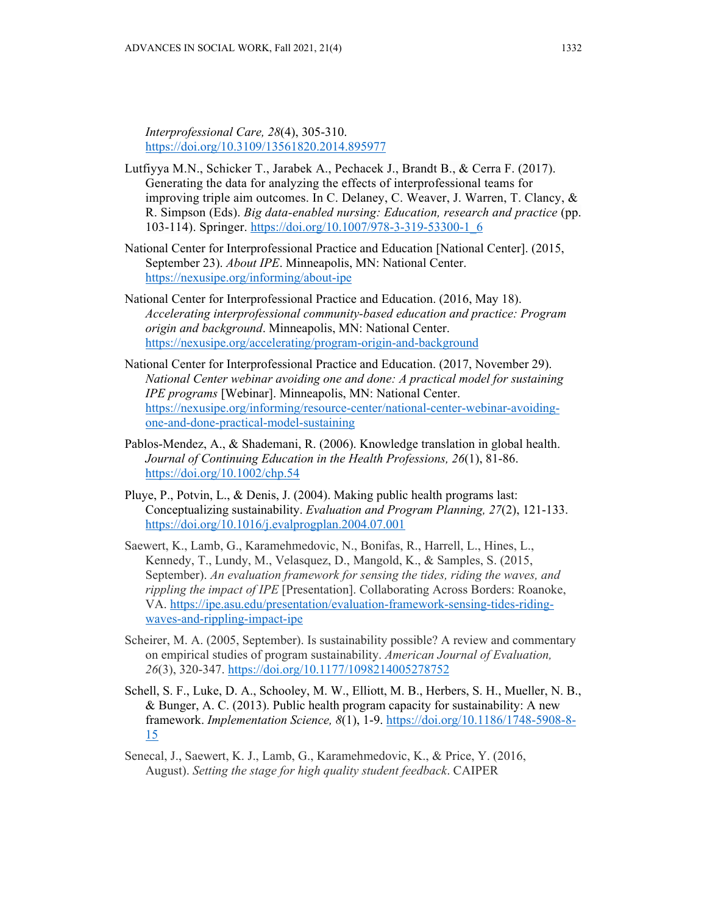*Interprofessional Care, 28*(4), 305-310. https://doi.org/10.3109/13561820.2014.895977

- Lutfiyya M.N., Schicker T., Jarabek A., Pechacek J., Brandt B., & Cerra F. (2017). Generating the data for analyzing the effects of interprofessional teams for improving triple aim outcomes. In C. Delaney, C. Weaver, J. Warren, T. Clancy, & R. Simpson (Eds). *Big data-enabled nursing: Education, research and practice* (pp. 103-114). Springer. https://doi.org/10.1007/978-3-319-53300-1\_6
- National Center for Interprofessional Practice and Education [National Center]. (2015, September 23). *About IPE*. Minneapolis, MN: National Center. https://nexusipe.org/informing/about-ipe
- National Center for Interprofessional Practice and Education. (2016, May 18). *Accelerating interprofessional community-based education and practice: Program origin and background*. Minneapolis, MN: National Center. https://nexusipe.org/accelerating/program-origin-and-background
- National Center for Interprofessional Practice and Education. (2017, November 29). *National Center webinar avoiding one and done: A practical model for sustaining IPE programs* [Webinar]. Minneapolis, MN: National Center. https://nexusipe.org/informing/resource-center/national-center-webinar-avoidingone-and-done-practical-model-sustaining
- Pablos-Mendez, A., & Shademani, R. (2006). Knowledge translation in global health. *Journal of Continuing Education in the Health Professions, 26*(1), 81-86. https://doi.org/10.1002/chp.54
- Pluye, P., Potvin, L., & Denis, J. (2004). Making public health programs last: Conceptualizing sustainability. *Evaluation and Program Planning, 27*(2), 121-133. https://doi.org/10.1016/j.evalprogplan.2004.07.001
- Saewert, K., Lamb, G., Karamehmedovic, N., Bonifas, R., Harrell, L., Hines, L., Kennedy, T., Lundy, M., Velasquez, D., Mangold, K., & Samples, S. (2015, September). *An evaluation framework for sensing the tides, riding the waves, and rippling the impact of IPE* [Presentation]. Collaborating Across Borders: Roanoke, VA. https://ipe.asu.edu/presentation/evaluation-framework-sensing-tides-ridingwaves-and-rippling-impact-ipe
- Scheirer, M. A. (2005, September). Is sustainability possible? A review and commentary on empirical studies of program sustainability. *American Journal of Evaluation, 26*(3), 320-347. https://doi.org/10.1177/1098214005278752
- Schell, S. F., Luke, D. A., Schooley, M. W., Elliott, M. B., Herbers, S. H., Mueller, N. B., & Bunger, A. C. (2013). Public health program capacity for sustainability: A new framework. *Implementation Science, 8*(1), 1-9. https://doi.org/10.1186/1748-5908-8- 15
- Senecal, J., Saewert, K. J., Lamb, G., Karamehmedovic, K., & Price, Y. (2016, August). *Setting the stage for high quality student feedback*. CAIPER